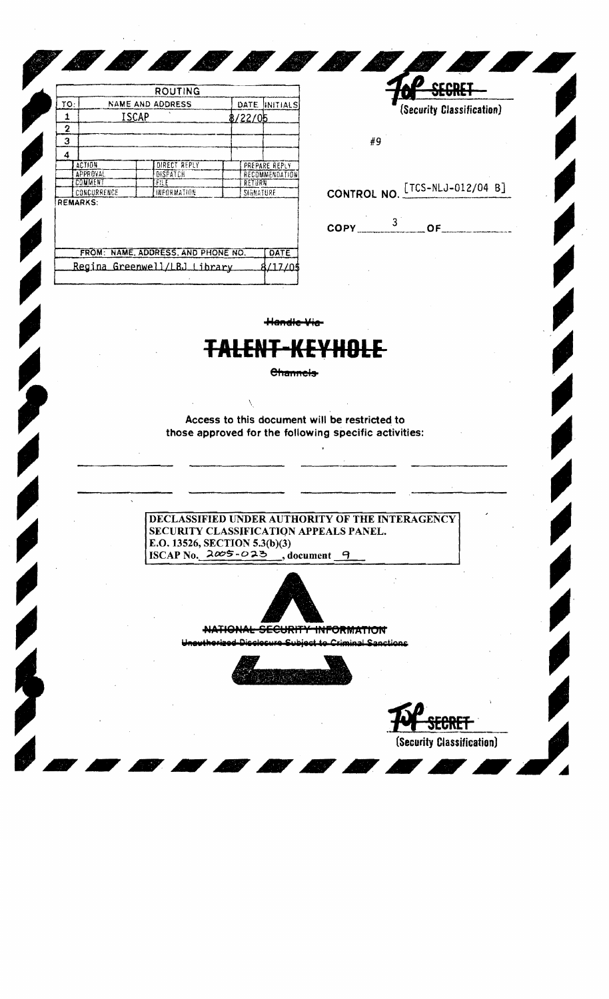| το:<br><b>NAME AND ADDRESS</b><br><b>DATE</b><br><b>ISCAP</b><br>8/22/05<br>1<br>2<br>3<br>4<br><b>ACTION</b><br>DIRECT REPLY<br>PREPARE REPLY<br><b>APPROVAL</b><br>DISPATCH<br>RECOMMENDATION<br>COMMENT<br>file<br>RETURN<br>CONCURRENCE<br>INFORMATION<br>SIGNATURE |          |  |
|-------------------------------------------------------------------------------------------------------------------------------------------------------------------------------------------------------------------------------------------------------------------------|----------|--|
|                                                                                                                                                                                                                                                                         | INITIALS |  |
| <b>REMARKS:</b>                                                                                                                                                                                                                                                         |          |  |
|                                                                                                                                                                                                                                                                         |          |  |
|                                                                                                                                                                                                                                                                         |          |  |
|                                                                                                                                                                                                                                                                         |          |  |
|                                                                                                                                                                                                                                                                         |          |  |
|                                                                                                                                                                                                                                                                         |          |  |
|                                                                                                                                                                                                                                                                         |          |  |
|                                                                                                                                                                                                                                                                         |          |  |
|                                                                                                                                                                                                                                                                         |          |  |
| FROM: NAME, ADDRESS, AND PHONE NO.                                                                                                                                                                                                                                      | DATE     |  |
| Regina Greenwell/LBJ Library                                                                                                                                                                                                                                            | 8/17/05  |  |

**CONTROL** 

**COMPANY** 

(Security Classification)

#9

Secret

Ø

CONTROL NO. [TCS-NLJ-012/04 B]

 $\overline{OPY}$   $3$   $\overline{OF}$   $\overline{OF}$ 

<del>Handle Via</del>

## H<del>DLE</del>

Channels-

Access to this document will be restricted to those approved for the following specific activities:

DECLASSIFIED UNDER AUTHORITY OF THE INTERAGENCY SECURITY CLASSIFICATION APPEALS PANEL. E.O. 13526, SECTION 5.3(b)(3) ISCAP No.  $2005 - 025$ , document 9



<del>TIONAL SECURITY</del> <del>INFORMATION</del>



(Security Classification)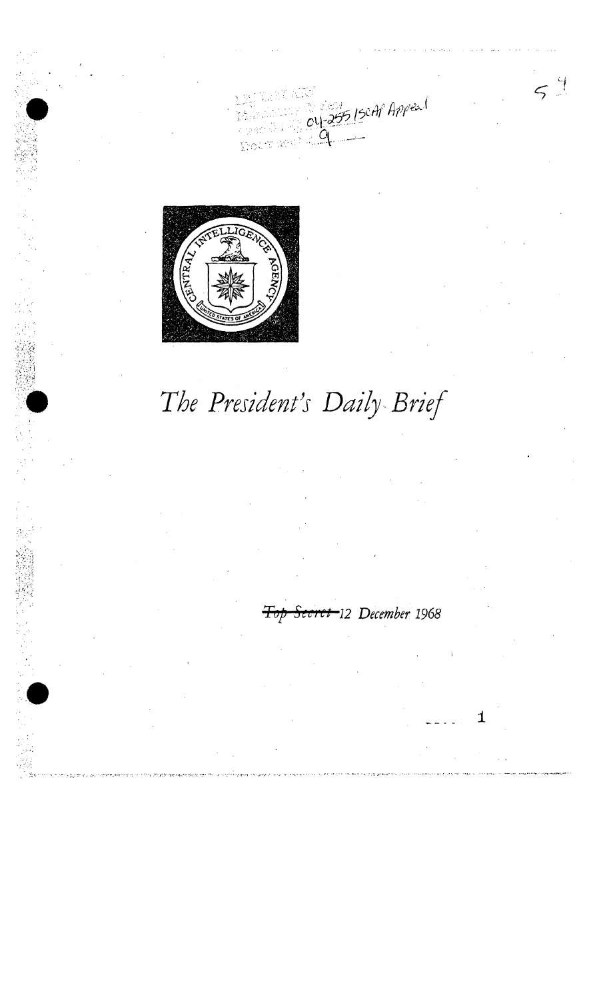5/SCAP Appeal

 $5<sup>4</sup>$ 



## The President's Daily Brief

<del>ret -</del>12 December 1968

1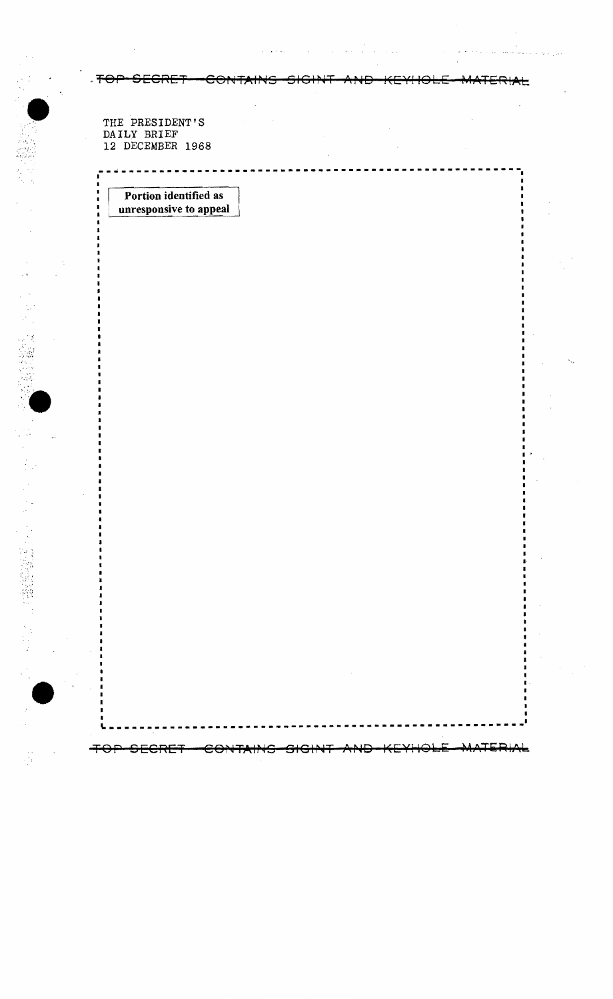⋰╤⊖⊣

THE PRESIDENT'S<br>DAILY BRIEF 12 DECEMBER 1968

Šή,

÷.

○ 金融 (機関)

Portion identified as unresponsive to appeal

<del>ECRE</del>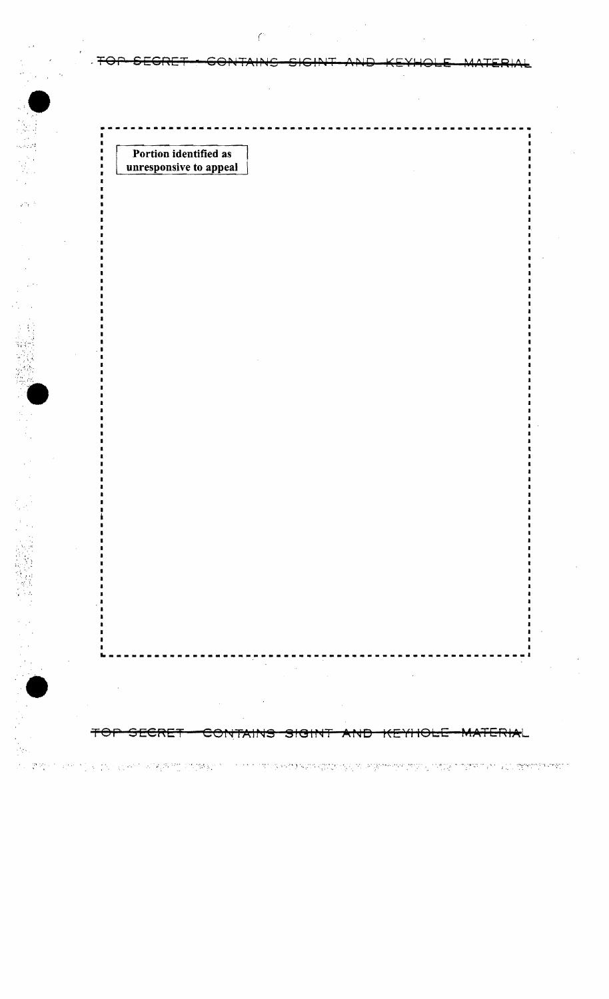| Portion identified as<br>unresponsive to appeal |                                                                                                                                                                                                                                                                                                                                                                                                                                                                                                                                   |        |  |
|-------------------------------------------------|-----------------------------------------------------------------------------------------------------------------------------------------------------------------------------------------------------------------------------------------------------------------------------------------------------------------------------------------------------------------------------------------------------------------------------------------------------------------------------------------------------------------------------------|--------|--|
|                                                 |                                                                                                                                                                                                                                                                                                                                                                                                                                                                                                                                   |        |  |
|                                                 |                                                                                                                                                                                                                                                                                                                                                                                                                                                                                                                                   |        |  |
|                                                 |                                                                                                                                                                                                                                                                                                                                                                                                                                                                                                                                   |        |  |
|                                                 |                                                                                                                                                                                                                                                                                                                                                                                                                                                                                                                                   |        |  |
|                                                 |                                                                                                                                                                                                                                                                                                                                                                                                                                                                                                                                   |        |  |
|                                                 |                                                                                                                                                                                                                                                                                                                                                                                                                                                                                                                                   |        |  |
|                                                 |                                                                                                                                                                                                                                                                                                                                                                                                                                                                                                                                   |        |  |
|                                                 |                                                                                                                                                                                                                                                                                                                                                                                                                                                                                                                                   |        |  |
|                                                 |                                                                                                                                                                                                                                                                                                                                                                                                                                                                                                                                   |        |  |
| $\sim 100$                                      | ------------<br>-<br><b>Contract</b><br>$\label{eq:2.1} \begin{split} \mathcal{L}_{\text{max}}(\mathbf{r},\mathbf{r}) & = \mathcal{L}_{\text{max}}(\mathbf{r},\mathbf{r}) \mathcal{L}_{\text{max}}(\mathbf{r},\mathbf{r}) \mathcal{L}_{\text{max}}(\mathbf{r},\mathbf{r}) \mathcal{L}_{\text{max}}(\mathbf{r},\mathbf{r}) \mathcal{L}_{\text{max}}(\mathbf{r},\mathbf{r},\mathbf{r}) \mathcal{L}_{\text{max}}(\mathbf{r},\mathbf{r},\mathbf{r}) \mathcal{L}_{\text{max}}(\mathbf{r},\mathbf{r},\mathbf{r},\math$<br>$\sim$ $\sim$ | $\sim$ |  |

. 이 이 1<br>이 이 것 같은 이 30 이 이 이 이 10 30 원에 120 웹 판매을 인터뷰 및 2000 이 이 이 이 기자 및 관련을 필정할 수 없었던 것 같은 것이 제공하는 것이 이 가능한 것이 되어 있다. 정확한 정확한 제품이 이